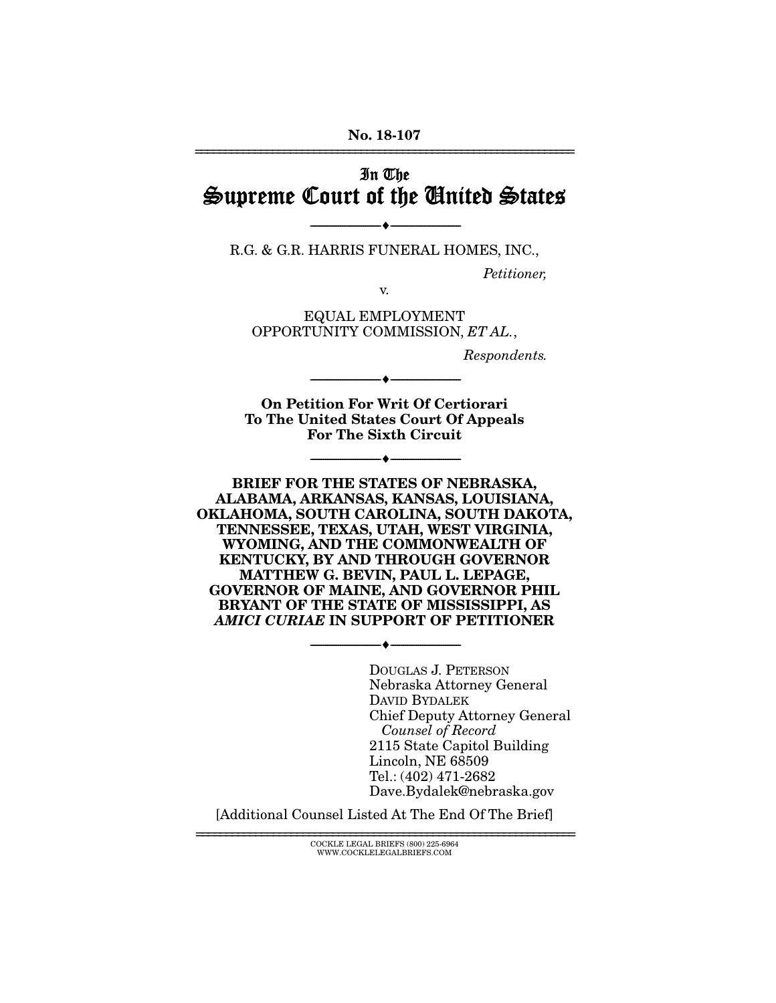## In The Supreme Court of the United States

--------------------------------- --------------------------------- R.G. & G.R. HARRIS FUNERAL HOMES, INC.,

*Petitioner,* 

v.

EQUAL EMPLOYMENT OPPORTUNITY COMMISSION, *ET AL.*,

*Respondents.* 

On Petition For Writ Of Certiorari To The United States Court Of Appeals For The Sixth Circuit

--------------------------------- ---------------------------------

--------------------------------- ---------------------------------

BRIEF FOR THE STATES OF NEBRASKA, ALABAMA, ARKANSAS, KANSAS, LOUISIANA, OKLAHOMA, SOUTH CAROLINA, SOUTH DAKOTA, TENNESSEE, TEXAS, UTAH, WEST VIRGINIA, WYOMING, AND THE COMMONWEALTH OF KENTUCKY, BY AND THROUGH GOVERNOR MATTHEW G. BEVIN, PAUL L. LEPAGE, GOVERNOR OF MAINE, AND GOVERNOR PHIL BRYANT OF THE STATE OF MISSISSIPPI, AS *AMICI CURIAE* IN SUPPORT OF PETITIONER

--------------------------------- ---------------------------------

DOUGLAS J. PETERSON Nebraska Attorney General DAVID BYDALEK Chief Deputy Attorney General *Counsel of Record*  2115 State Capitol Building Lincoln, NE 68509 Tel.: (402) 471-2682 Dave.Bydalek@nebraska.gov

[Additional Counsel Listed At The End Of The Brief]

================================================================ COCKLE LEGAL BRIEFS (800) 225-6964 WWW.COCKLELEGALBRIEFS.COM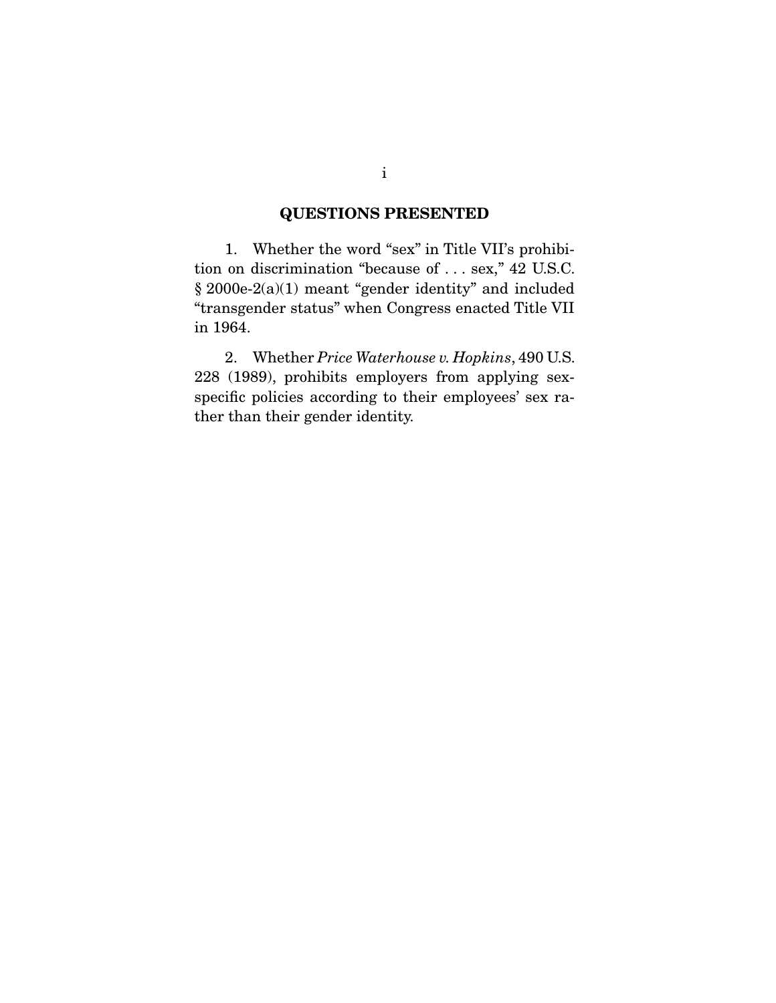### QUESTIONS PRESENTED

 1. Whether the word "sex" in Title VII's prohibition on discrimination "because of . . . sex," 42 U.S.C.  $\S~2000$ e-2(a)(1) meant "gender identity" and included "transgender status" when Congress enacted Title VII in 1964.

 2. Whether *Price Waterhouse v. Hopkins*, 490 U.S. 228 (1989), prohibits employers from applying sexspecific policies according to their employees' sex rather than their gender identity.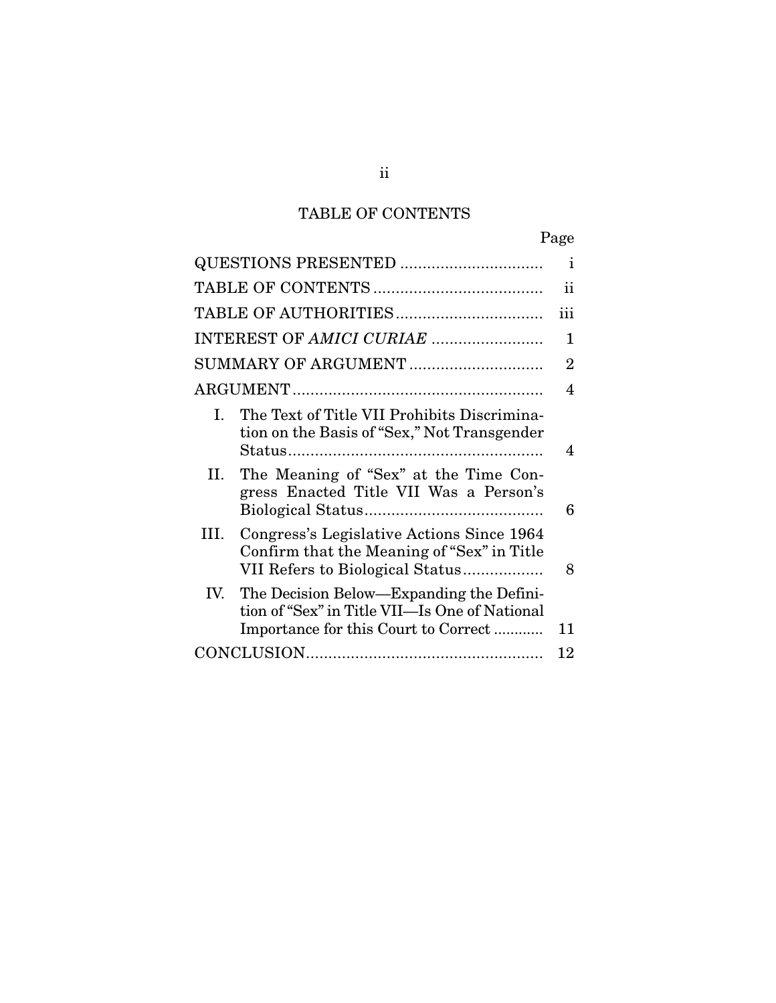## TABLE OF CONTENTS

|                     |                                                                                                                                   | Page |
|---------------------|-----------------------------------------------------------------------------------------------------------------------------------|------|
|                     | QUESTIONS PRESENTED                                                                                                               | Ť    |
|                     |                                                                                                                                   | ii   |
|                     |                                                                                                                                   | iii  |
|                     |                                                                                                                                   | 1    |
| SUMMARY OF ARGUMENT |                                                                                                                                   | 2    |
|                     |                                                                                                                                   | 4    |
| L                   | The Text of Title VII Prohibits Discrimina-<br>tion on the Basis of "Sex," Not Transgender                                        | 4    |
| П.                  | The Meaning of "Sex" at the Time Con-<br>gress Enacted Title VII Was a Person's                                                   | 6    |
| III.                | Congress's Legislative Actions Since 1964<br>Confirm that the Meaning of "Sex" in Title<br>VII Refers to Biological Status        | 8    |
| IV.                 | The Decision Below—Expanding the Defini-<br>tion of "Sex" in Title VII—Is One of National<br>Importance for this Court to Correct | 11   |
|                     |                                                                                                                                   | 12   |

ii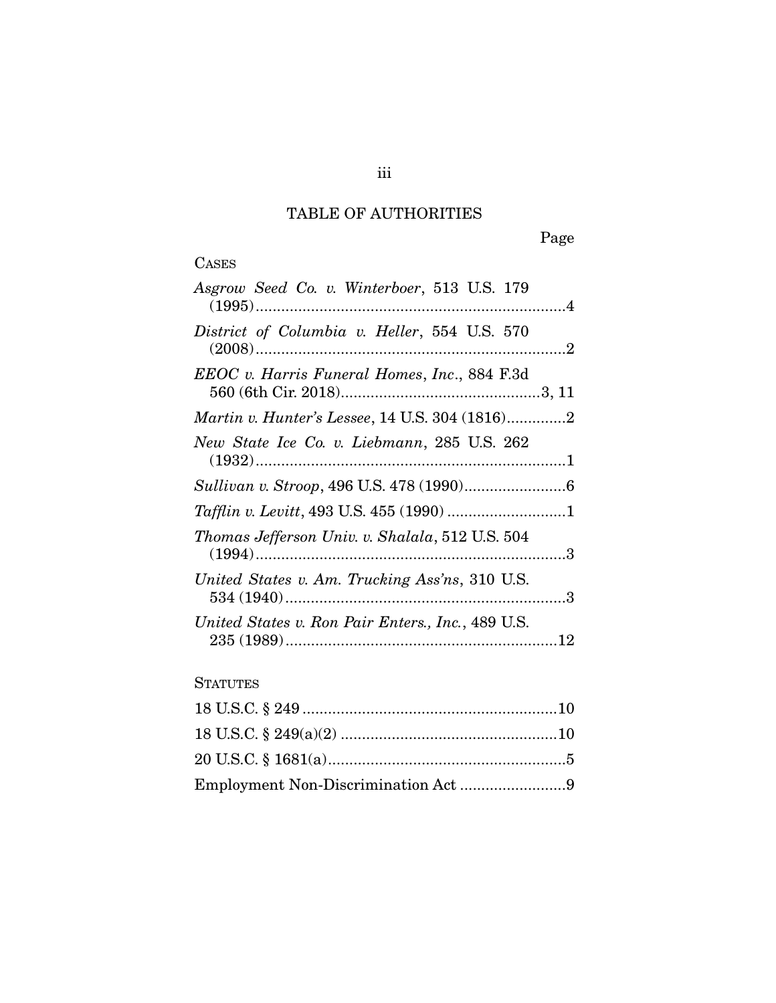## TABLE OF AUTHORITIES

## **CASES**

| Asgrow Seed Co. v. Winterboer, 513 U.S. 179           |
|-------------------------------------------------------|
| District of Columbia v. Heller, 554 U.S. 570          |
| EEOC v. Harris Funeral Homes, Inc., 884 F.3d          |
| <i>Martin v. Hunter's Lessee, 14 U.S. 304 (1816)2</i> |
| New State Ice Co. v. Liebmann, 285 U.S. 262           |
|                                                       |
|                                                       |
| Thomas Jefferson Univ. v. Shalala, 512 U.S. 504       |
| United States v. Am. Trucking Ass'ns, 310 U.S.        |
| United States v. Ron Pair Enters., Inc., 489 U.S.     |
|                                                       |

### **STATUTES**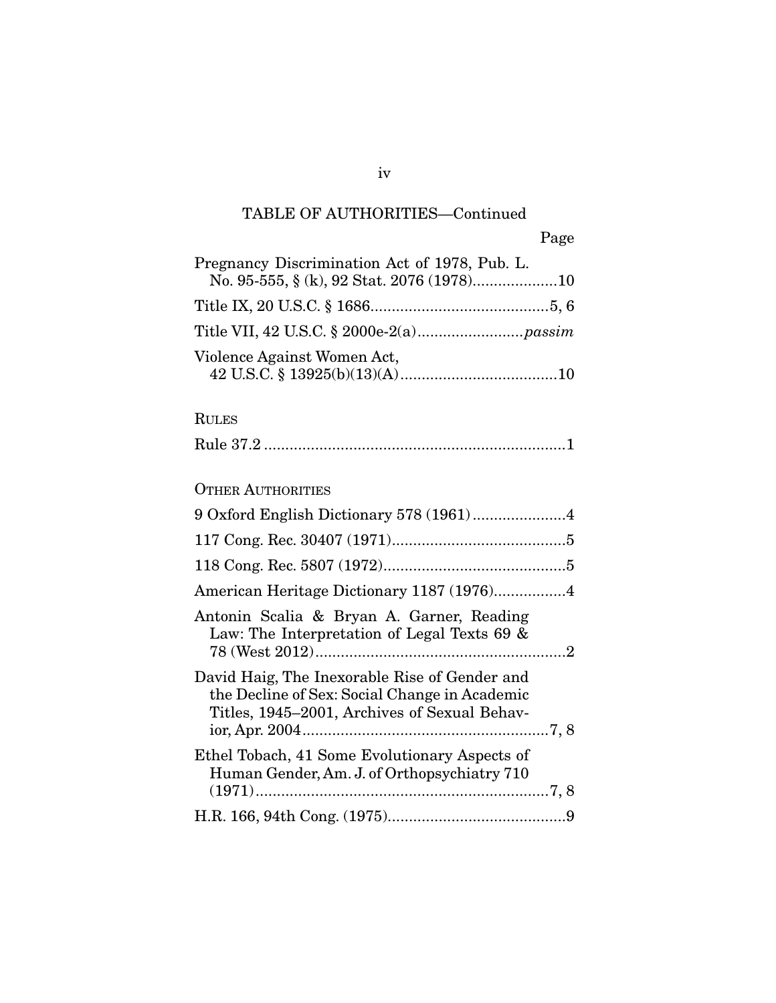## TABLE OF AUTHORITIES—Continued

|                                               | Page |
|-----------------------------------------------|------|
| Pregnancy Discrimination Act of 1978, Pub. L. |      |
|                                               |      |
|                                               |      |
| Violence Against Women Act,                   |      |

### RULES

# OTHER AUTHORITIES

| 9 Oxford English Dictionary 578 (1961)4                                                                                                        |  |
|------------------------------------------------------------------------------------------------------------------------------------------------|--|
|                                                                                                                                                |  |
|                                                                                                                                                |  |
|                                                                                                                                                |  |
| Antonin Scalia & Bryan A. Garner, Reading<br>Law: The Interpretation of Legal Texts 69 &                                                       |  |
| David Haig, The Inexorable Rise of Gender and<br>the Decline of Sex: Social Change in Academic<br>Titles, 1945–2001, Archives of Sexual Behav- |  |
| Ethel Tobach, 41 Some Evolutionary Aspects of<br>Human Gender, Am. J. of Orthopsychiatry 710                                                   |  |
|                                                                                                                                                |  |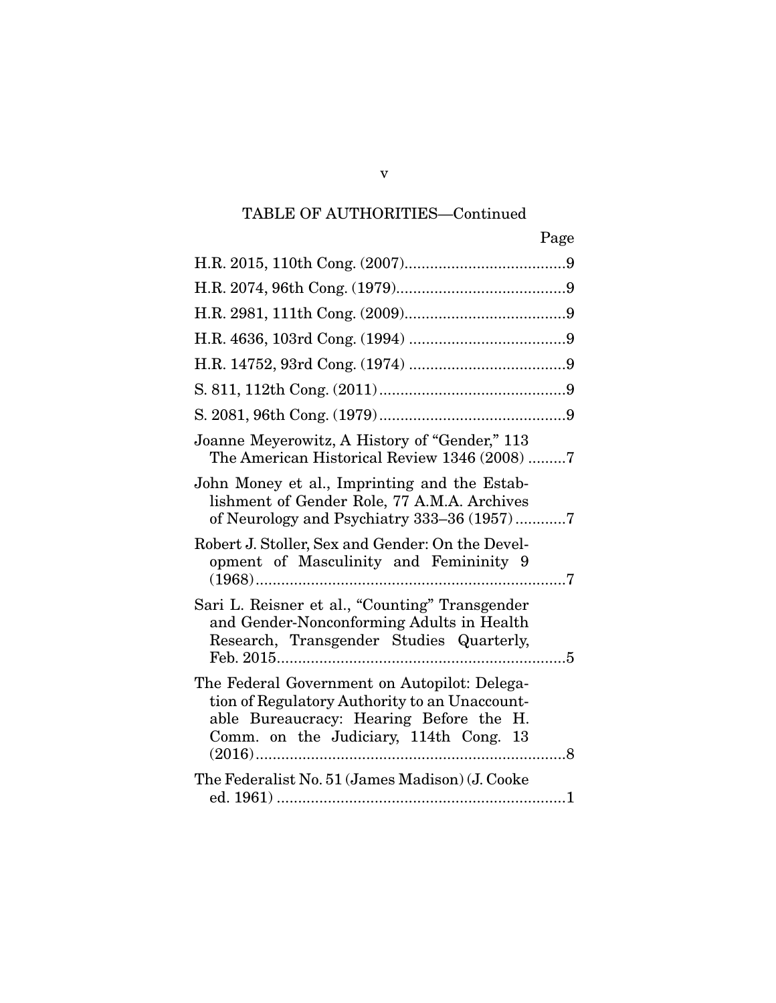## TABLE OF AUTHORITIES—Continued

| Page                                                                                                                                                                               |
|------------------------------------------------------------------------------------------------------------------------------------------------------------------------------------|
|                                                                                                                                                                                    |
|                                                                                                                                                                                    |
|                                                                                                                                                                                    |
|                                                                                                                                                                                    |
|                                                                                                                                                                                    |
|                                                                                                                                                                                    |
|                                                                                                                                                                                    |
| Joanne Meyerowitz, A History of "Gender," 113<br>The American Historical Review 1346 (2008) 7                                                                                      |
| John Money et al., Imprinting and the Estab-<br>lishment of Gender Role, 77 A.M.A. Archives<br>of Neurology and Psychiatry 333-36 (1957)7                                          |
| Robert J. Stoller, Sex and Gender: On the Devel-<br>opment of Masculinity and Femininity 9                                                                                         |
| Sari L. Reisner et al., "Counting" Transgender<br>and Gender-Nonconforming Adults in Health<br>Research, Transgender Studies Quarterly,                                            |
| The Federal Government on Autopilot: Delega-<br>tion of Regulatory Authority to an Unaccount-<br>able Bureaucracy: Hearing Before the H.<br>Comm. on the Judiciary, 114th Cong. 13 |
| The Federalist No. 51 (James Madison) (J. Cooke                                                                                                                                    |

v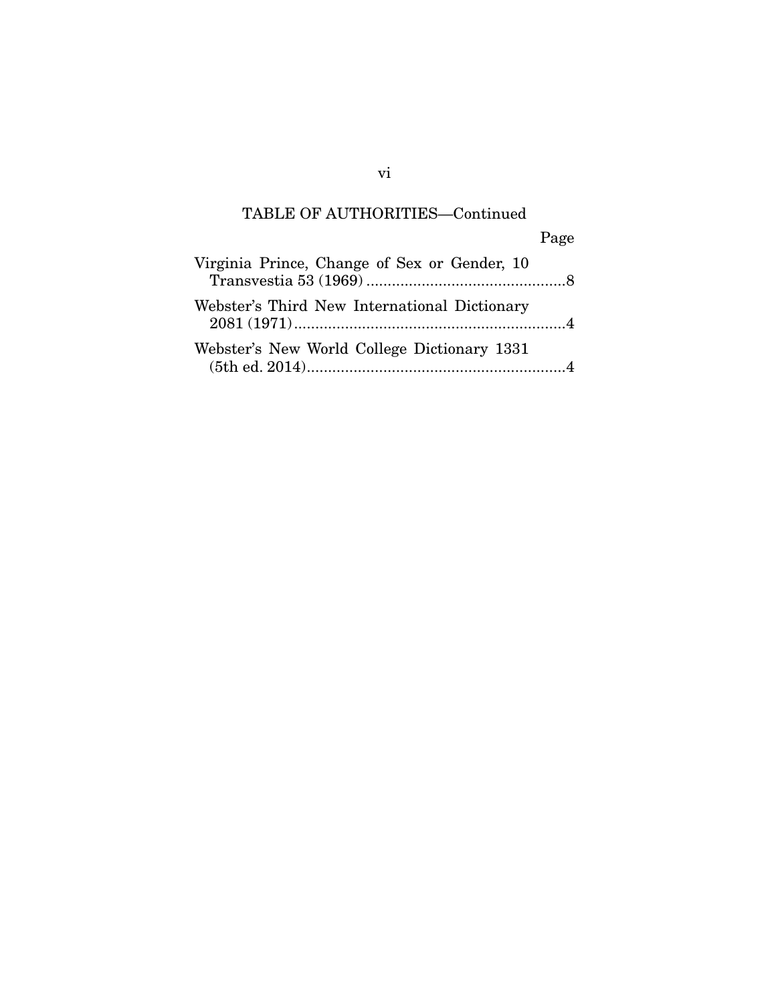## TABLE OF AUTHORITIES—Continued

|                                              | Page |
|----------------------------------------------|------|
| Virginia Prince, Change of Sex or Gender, 10 |      |
| Webster's Third New International Dictionary |      |
| Webster's New World College Dictionary 1331  |      |

vi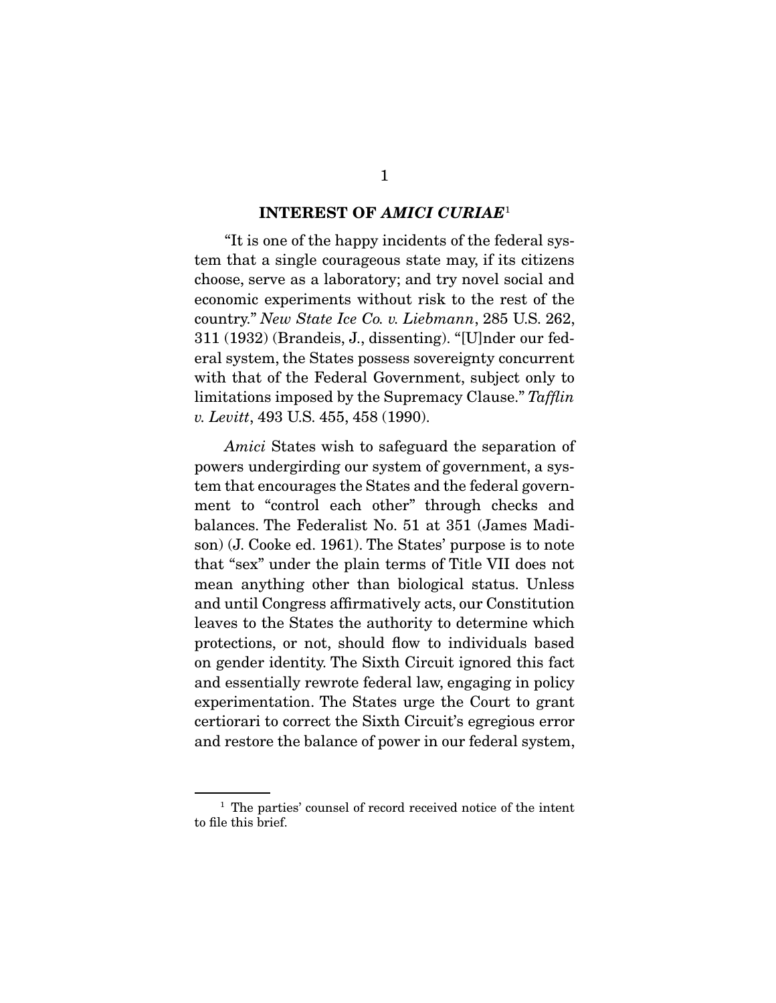#### INTEREST OF *AMICI CURIAE*<sup>1</sup>

 "It is one of the happy incidents of the federal system that a single courageous state may, if its citizens choose, serve as a laboratory; and try novel social and economic experiments without risk to the rest of the country." *New State Ice Co. v. Liebmann*, 285 U.S. 262, 311 (1932) (Brandeis, J., dissenting). "[U]nder our federal system, the States possess sovereignty concurrent with that of the Federal Government, subject only to limitations imposed by the Supremacy Clause." *Tafflin v. Levitt*, 493 U.S. 455, 458 (1990).

*Amici* States wish to safeguard the separation of powers undergirding our system of government, a system that encourages the States and the federal government to "control each other" through checks and balances. The Federalist No. 51 at 351 (James Madison) (J. Cooke ed. 1961). The States' purpose is to note that "sex" under the plain terms of Title VII does not mean anything other than biological status. Unless and until Congress affirmatively acts, our Constitution leaves to the States the authority to determine which protections, or not, should flow to individuals based on gender identity. The Sixth Circuit ignored this fact and essentially rewrote federal law, engaging in policy experimentation. The States urge the Court to grant certiorari to correct the Sixth Circuit's egregious error and restore the balance of power in our federal system,

<sup>&</sup>lt;sup>1</sup> The parties' counsel of record received notice of the intent to file this brief.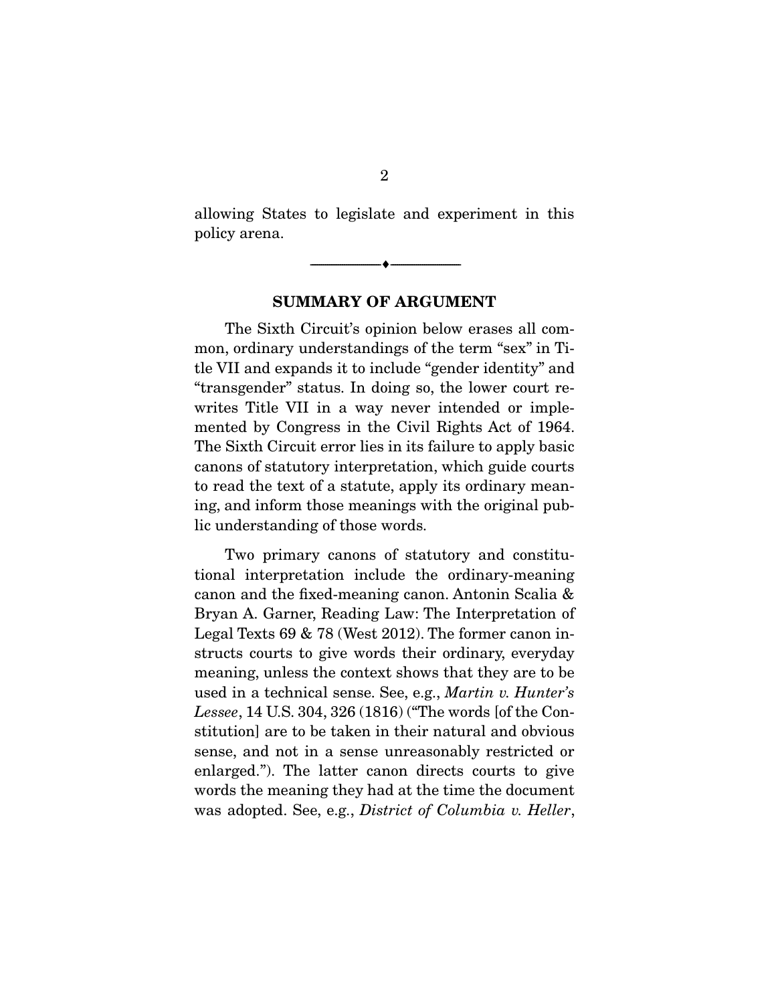allowing States to legislate and experiment in this policy arena.

--------------------------------- ---------------------------------

SUMMARY OF ARGUMENT

 The Sixth Circuit's opinion below erases all common, ordinary understandings of the term "sex" in Title VII and expands it to include "gender identity" and "transgender" status. In doing so, the lower court rewrites Title VII in a way never intended or implemented by Congress in the Civil Rights Act of 1964. The Sixth Circuit error lies in its failure to apply basic canons of statutory interpretation, which guide courts to read the text of a statute, apply its ordinary meaning, and inform those meanings with the original public understanding of those words.

 Two primary canons of statutory and constitutional interpretation include the ordinary-meaning canon and the fixed-meaning canon. Antonin Scalia & Bryan A. Garner, Reading Law: The Interpretation of Legal Texts 69 & 78 (West 2012). The former canon instructs courts to give words their ordinary, everyday meaning, unless the context shows that they are to be used in a technical sense. See, e.g., *Martin v. Hunter's Lessee*, 14 U.S. 304, 326 (1816) ("The words [of the Constitution] are to be taken in their natural and obvious sense, and not in a sense unreasonably restricted or enlarged."). The latter canon directs courts to give words the meaning they had at the time the document was adopted. See, e.g., *District of Columbia v. Heller*,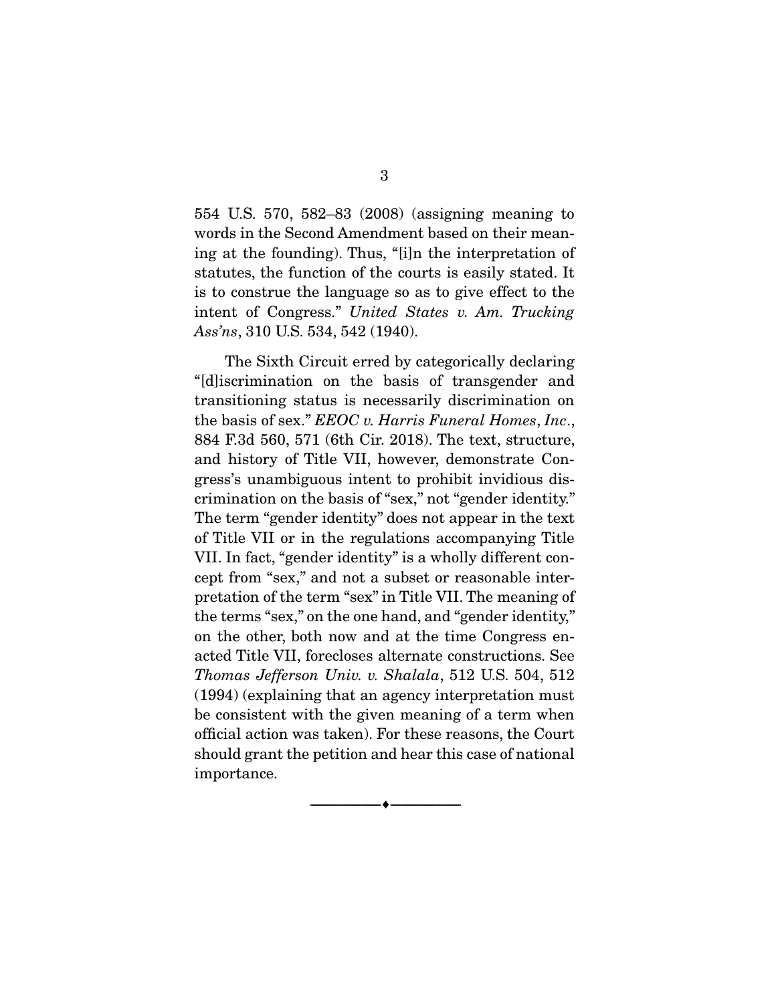554 U.S. 570, 582–83 (2008) (assigning meaning to words in the Second Amendment based on their meaning at the founding). Thus, "[i]n the interpretation of statutes, the function of the courts is easily stated. It is to construe the language so as to give effect to the intent of Congress." *United States v. Am. Trucking Ass'ns*, 310 U.S. 534, 542 (1940).

 The Sixth Circuit erred by categorically declaring "[d]iscrimination on the basis of transgender and transitioning status is necessarily discrimination on the basis of sex." *EEOC v. Harris Funeral Homes*, *Inc*., 884 F.3d 560, 571 (6th Cir. 2018). The text, structure, and history of Title VII, however, demonstrate Congress's unambiguous intent to prohibit invidious discrimination on the basis of "sex," not "gender identity." The term "gender identity" does not appear in the text of Title VII or in the regulations accompanying Title VII. In fact, "gender identity" is a wholly different concept from "sex," and not a subset or reasonable interpretation of the term "sex" in Title VII. The meaning of the terms "sex," on the one hand, and "gender identity," on the other, both now and at the time Congress enacted Title VII, forecloses alternate constructions. See *Thomas Jefferson Univ. v. Shalala*, 512 U.S. 504, 512 (1994) (explaining that an agency interpretation must be consistent with the given meaning of a term when official action was taken). For these reasons, the Court should grant the petition and hear this case of national importance.

--------------------------------- ---------------------------------

3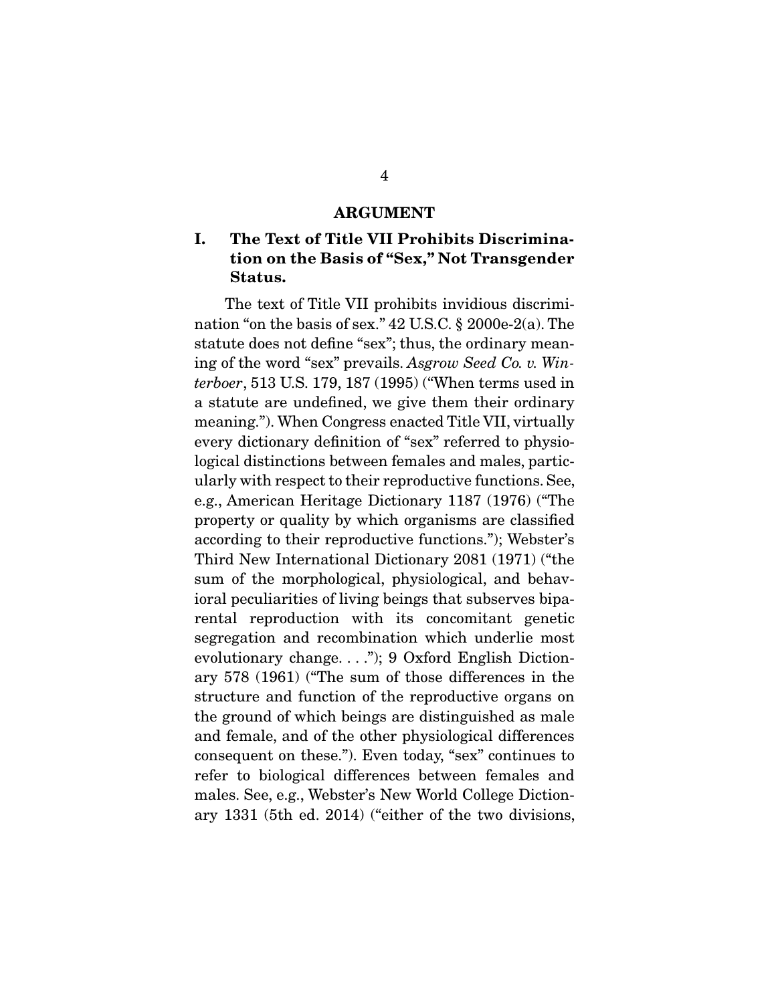#### ARGUMENT

### I. The Text of Title VII Prohibits Discrimination on the Basis of "Sex," Not Transgender Status.

 The text of Title VII prohibits invidious discrimination "on the basis of sex." 42 U.S.C. § 2000e-2(a). The statute does not define "sex"; thus, the ordinary meaning of the word "sex" prevails. *Asgrow Seed Co. v. Winterboer*, 513 U.S. 179, 187 (1995) ("When terms used in a statute are undefined, we give them their ordinary meaning."). When Congress enacted Title VII, virtually every dictionary definition of "sex" referred to physiological distinctions between females and males, particularly with respect to their reproductive functions. See, e.g., American Heritage Dictionary 1187 (1976) ("The property or quality by which organisms are classified according to their reproductive functions."); Webster's Third New International Dictionary 2081 (1971) ("the sum of the morphological, physiological, and behavioral peculiarities of living beings that subserves biparental reproduction with its concomitant genetic segregation and recombination which underlie most evolutionary change. . . ."); 9 Oxford English Dictionary 578 (1961) ("The sum of those differences in the structure and function of the reproductive organs on the ground of which beings are distinguished as male and female, and of the other physiological differences consequent on these."). Even today, "sex" continues to refer to biological differences between females and males. See, e.g., Webster's New World College Dictionary 1331 (5th ed. 2014) ("either of the two divisions,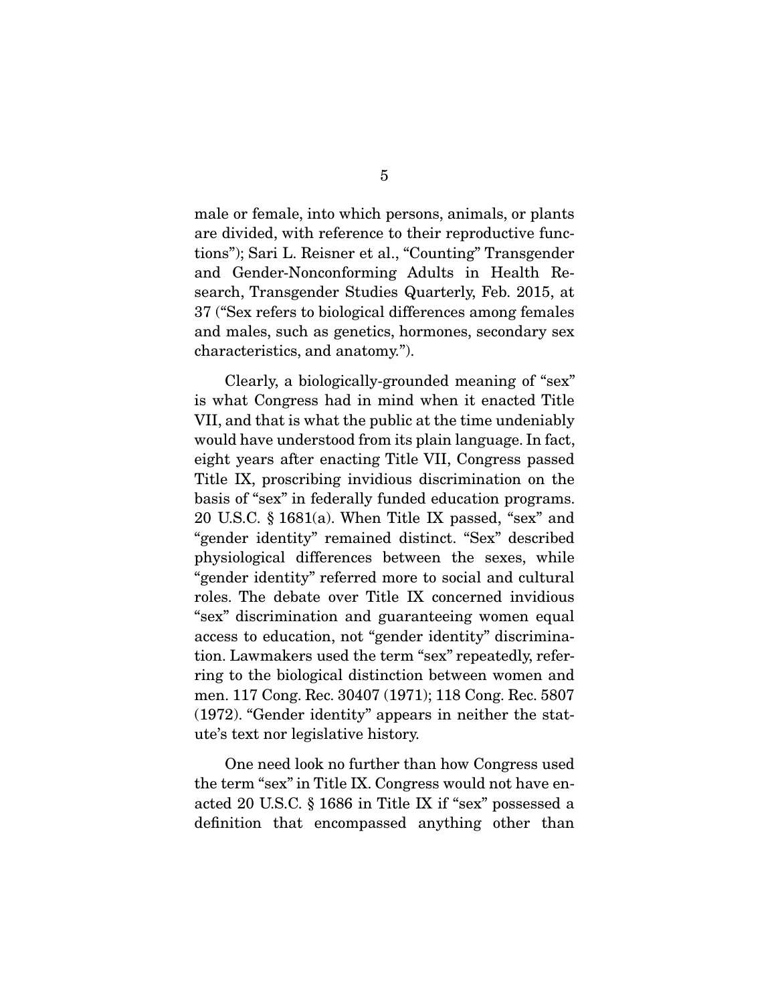male or female, into which persons, animals, or plants are divided, with reference to their reproductive functions"); Sari L. Reisner et al., "Counting" Transgender and Gender-Nonconforming Adults in Health Research, Transgender Studies Quarterly, Feb. 2015, at 37 ("Sex refers to biological differences among females and males, such as genetics, hormones, secondary sex characteristics, and anatomy.").

 Clearly, a biologically-grounded meaning of "sex" is what Congress had in mind when it enacted Title VII, and that is what the public at the time undeniably would have understood from its plain language. In fact, eight years after enacting Title VII, Congress passed Title IX, proscribing invidious discrimination on the basis of "sex" in federally funded education programs. 20 U.S.C. § 1681(a). When Title IX passed, "sex" and "gender identity" remained distinct. "Sex" described physiological differences between the sexes, while "gender identity" referred more to social and cultural roles. The debate over Title IX concerned invidious "sex" discrimination and guaranteeing women equal access to education, not "gender identity" discrimination. Lawmakers used the term "sex" repeatedly, referring to the biological distinction between women and men. 117 Cong. Rec. 30407 (1971); 118 Cong. Rec. 5807 (1972). "Gender identity" appears in neither the statute's text nor legislative history.

 One need look no further than how Congress used the term "sex" in Title IX. Congress would not have enacted 20 U.S.C. § 1686 in Title IX if "sex" possessed a definition that encompassed anything other than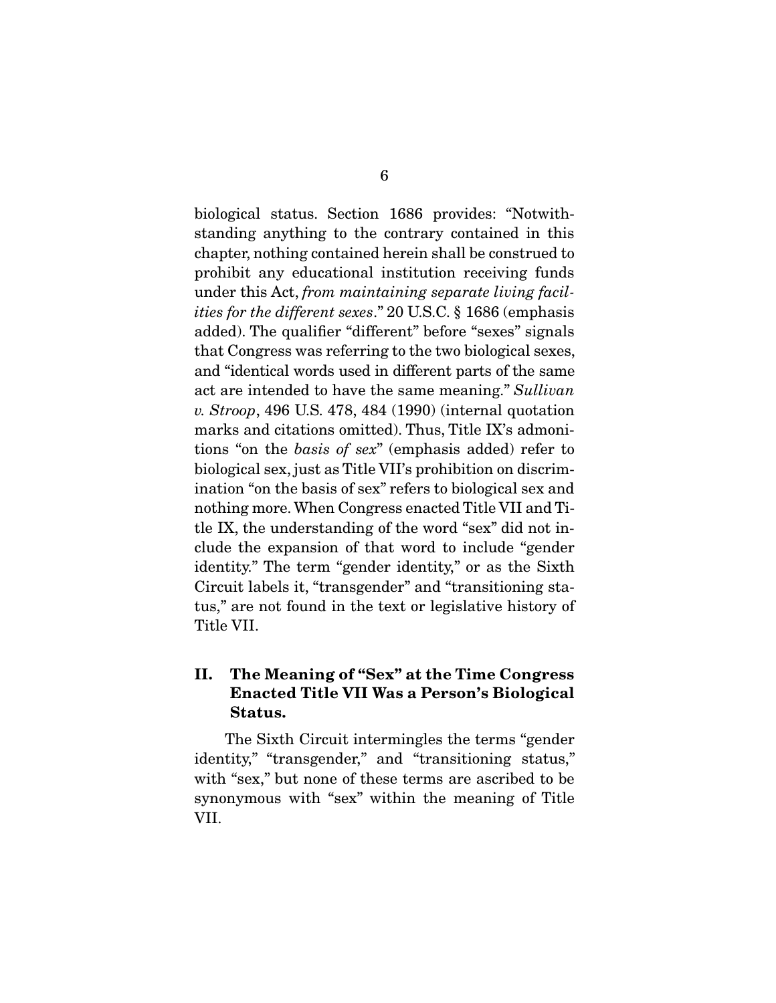biological status. Section 1686 provides: "Notwithstanding anything to the contrary contained in this chapter, nothing contained herein shall be construed to prohibit any educational institution receiving funds under this Act, *from maintaining separate living facilities for the different sexes*." 20 U.S.C. § 1686 (emphasis added). The qualifier "different" before "sexes" signals that Congress was referring to the two biological sexes, and "identical words used in different parts of the same act are intended to have the same meaning." *Sullivan v. Stroop*, 496 U.S. 478, 484 (1990) (internal quotation marks and citations omitted). Thus, Title IX's admonitions "on the *basis of sex*" (emphasis added) refer to biological sex, just as Title VII's prohibition on discrimination "on the basis of sex" refers to biological sex and nothing more. When Congress enacted Title VII and Title IX, the understanding of the word "sex" did not include the expansion of that word to include "gender identity." The term "gender identity," or as the Sixth Circuit labels it, "transgender" and "transitioning status," are not found in the text or legislative history of Title VII.

### II. The Meaning of "Sex" at the Time Congress Enacted Title VII Was a Person's Biological Status.

 The Sixth Circuit intermingles the terms "gender identity," "transgender," and "transitioning status," with "sex," but none of these terms are ascribed to be synonymous with "sex" within the meaning of Title VII.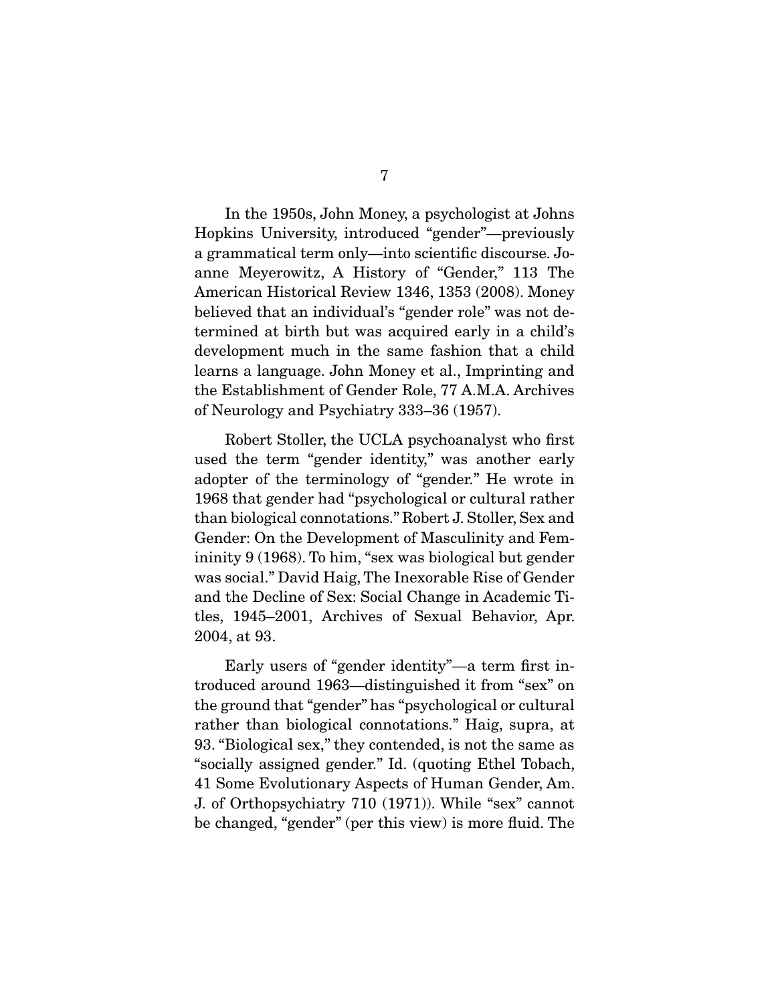In the 1950s, John Money, a psychologist at Johns Hopkins University, introduced "gender"—previously a grammatical term only—into scientific discourse. Joanne Meyerowitz, A History of "Gender," 113 The American Historical Review 1346, 1353 (2008). Money believed that an individual's "gender role" was not determined at birth but was acquired early in a child's development much in the same fashion that a child learns a language. John Money et al., Imprinting and the Establishment of Gender Role, 77 A.M.A. Archives of Neurology and Psychiatry 333–36 (1957).

 Robert Stoller, the UCLA psychoanalyst who first used the term "gender identity," was another early adopter of the terminology of "gender." He wrote in 1968 that gender had "psychological or cultural rather than biological connotations." Robert J. Stoller, Sex and Gender: On the Development of Masculinity and Femininity 9 (1968). To him, "sex was biological but gender was social." David Haig, The Inexorable Rise of Gender and the Decline of Sex: Social Change in Academic Titles, 1945–2001, Archives of Sexual Behavior, Apr. 2004, at 93.

 Early users of "gender identity"—a term first introduced around 1963—distinguished it from "sex" on the ground that "gender" has "psychological or cultural rather than biological connotations." Haig, supra, at 93. "Biological sex," they contended, is not the same as "socially assigned gender." Id. (quoting Ethel Tobach, 41 Some Evolutionary Aspects of Human Gender, Am. J. of Orthopsychiatry 710 (1971)). While "sex" cannot be changed, "gender" (per this view) is more fluid. The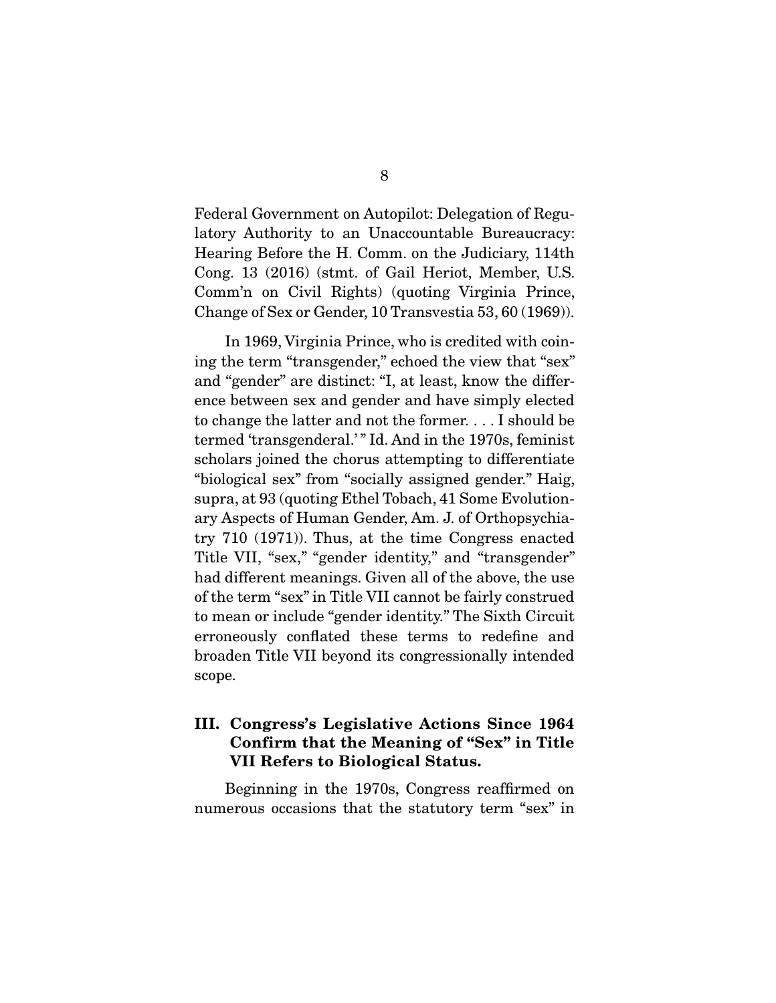Federal Government on Autopilot: Delegation of Regulatory Authority to an Unaccountable Bureaucracy: Hearing Before the H. Comm. on the Judiciary, 114th Cong. 13 (2016) (stmt. of Gail Heriot, Member, U.S. Comm'n on Civil Rights) (quoting Virginia Prince, Change of Sex or Gender, 10 Transvestia 53, 60 (1969)).

 In 1969, Virginia Prince, who is credited with coining the term "transgender," echoed the view that "sex" and "gender" are distinct: "I, at least, know the difference between sex and gender and have simply elected to change the latter and not the former. . . . I should be termed 'transgenderal.'" Id. And in the 1970s, feminist scholars joined the chorus attempting to differentiate "biological sex" from "socially assigned gender." Haig, supra, at 93 (quoting Ethel Tobach, 41 Some Evolutionary Aspects of Human Gender, Am. J. of Orthopsychiatry 710 (1971)). Thus, at the time Congress enacted Title VII, "sex," "gender identity," and "transgender" had different meanings. Given all of the above, the use of the term "sex" in Title VII cannot be fairly construed to mean or include "gender identity." The Sixth Circuit erroneously conflated these terms to redefine and broaden Title VII beyond its congressionally intended scope.

### III. Congress's Legislative Actions Since 1964 Confirm that the Meaning of "Sex" in Title VII Refers to Biological Status.

 Beginning in the 1970s, Congress reaffirmed on numerous occasions that the statutory term "sex" in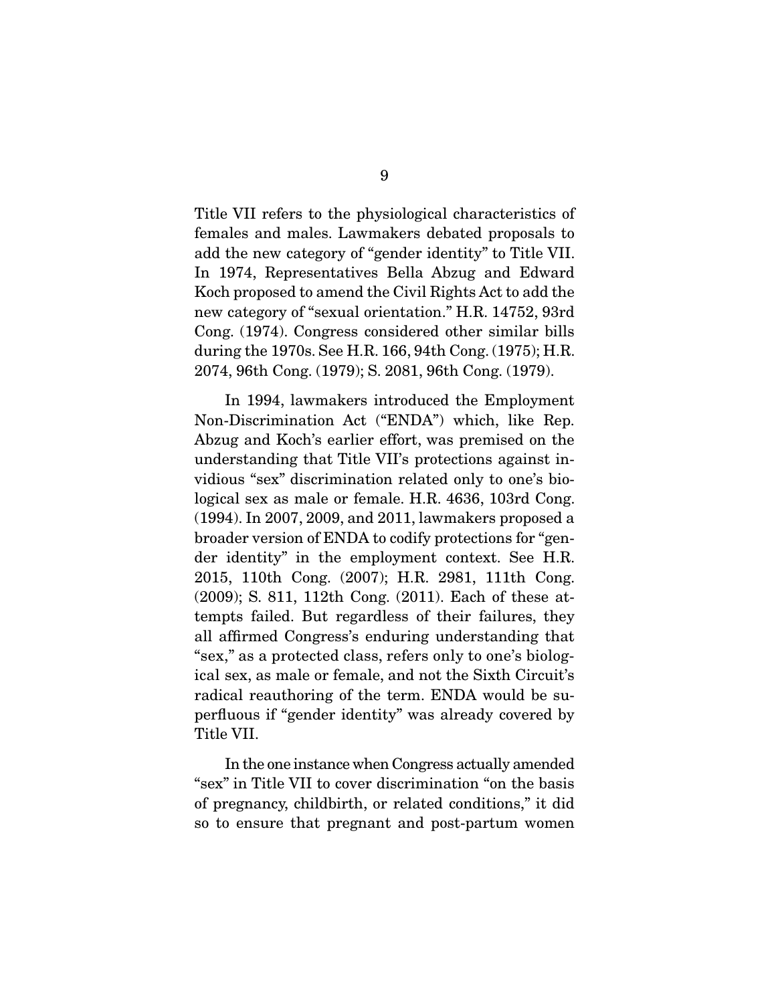Title VII refers to the physiological characteristics of females and males. Lawmakers debated proposals to add the new category of "gender identity" to Title VII. In 1974, Representatives Bella Abzug and Edward Koch proposed to amend the Civil Rights Act to add the new category of "sexual orientation." H.R. 14752, 93rd Cong. (1974). Congress considered other similar bills during the 1970s. See H.R. 166, 94th Cong. (1975); H.R. 2074, 96th Cong. (1979); S. 2081, 96th Cong. (1979).

 In 1994, lawmakers introduced the Employment Non-Discrimination Act ("ENDA") which, like Rep. Abzug and Koch's earlier effort, was premised on the understanding that Title VII's protections against invidious "sex" discrimination related only to one's biological sex as male or female. H.R. 4636, 103rd Cong. (1994). In 2007, 2009, and 2011, lawmakers proposed a broader version of ENDA to codify protections for "gender identity" in the employment context. See H.R. 2015, 110th Cong. (2007); H.R. 2981, 111th Cong. (2009); S. 811, 112th Cong. (2011). Each of these attempts failed. But regardless of their failures, they all affirmed Congress's enduring understanding that "sex," as a protected class, refers only to one's biological sex, as male or female, and not the Sixth Circuit's radical reauthoring of the term. ENDA would be superfluous if "gender identity" was already covered by Title VII.

 In the one instance when Congress actually amended "sex" in Title VII to cover discrimination "on the basis of pregnancy, childbirth, or related conditions," it did so to ensure that pregnant and post-partum women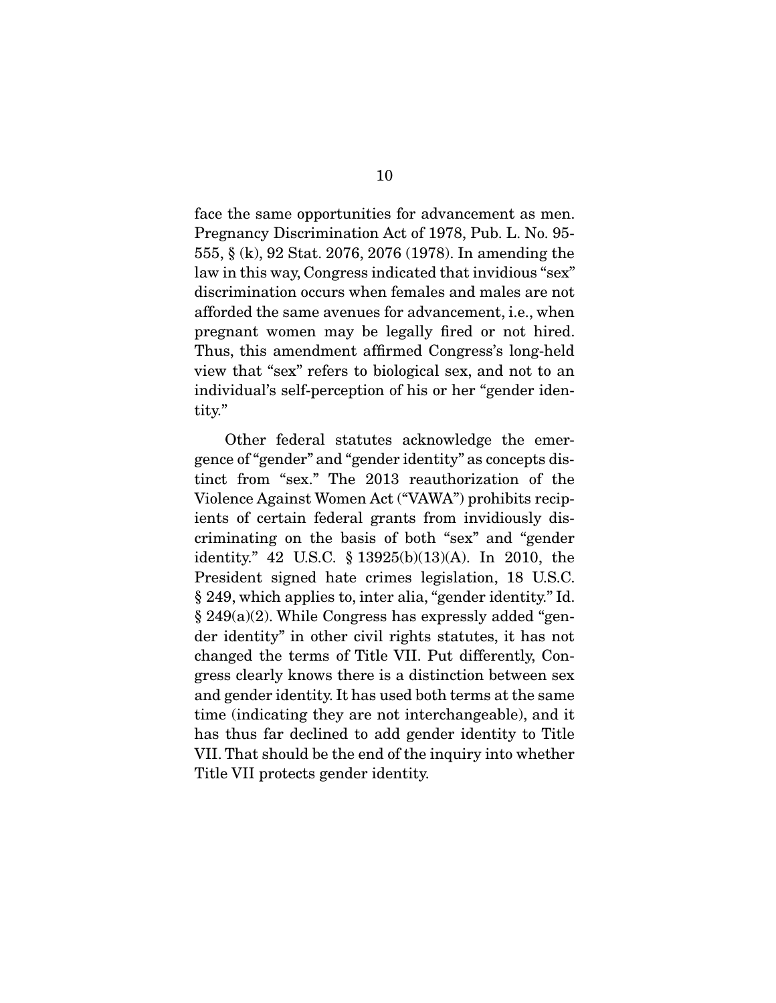face the same opportunities for advancement as men. Pregnancy Discrimination Act of 1978, Pub. L. No. 95- 555, § (k), 92 Stat. 2076, 2076 (1978). In amending the law in this way, Congress indicated that invidious "sex" discrimination occurs when females and males are not afforded the same avenues for advancement, i.e., when pregnant women may be legally fired or not hired. Thus, this amendment affirmed Congress's long-held view that "sex" refers to biological sex, and not to an individual's self-perception of his or her "gender identity."

 Other federal statutes acknowledge the emergence of "gender" and "gender identity" as concepts distinct from "sex." The 2013 reauthorization of the Violence Against Women Act ("VAWA") prohibits recipients of certain federal grants from invidiously discriminating on the basis of both "sex" and "gender identity." 42 U.S.C. § 13925(b)(13)(A). In 2010, the President signed hate crimes legislation, 18 U.S.C. § 249, which applies to, inter alia, "gender identity." Id. § 249(a)(2). While Congress has expressly added "gender identity" in other civil rights statutes, it has not changed the terms of Title VII. Put differently, Congress clearly knows there is a distinction between sex and gender identity. It has used both terms at the same time (indicating they are not interchangeable), and it has thus far declined to add gender identity to Title VII. That should be the end of the inquiry into whether Title VII protects gender identity.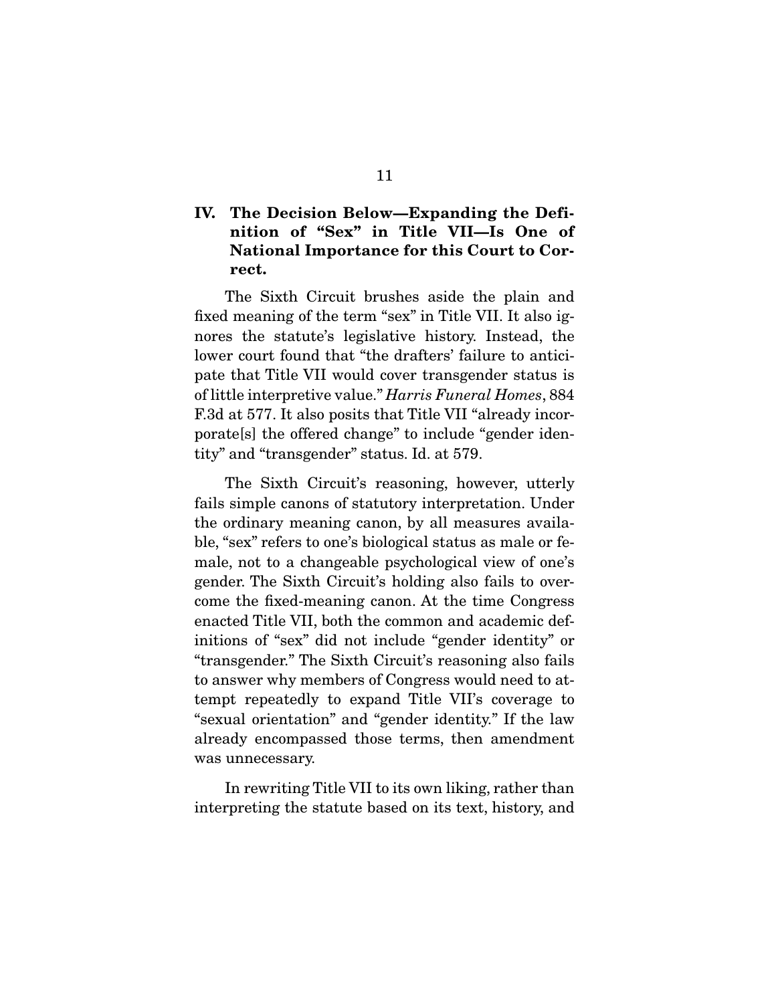### IV. The Decision Below—Expanding the Definition of "Sex" in Title VII—Is One of National Importance for this Court to Correct.

 The Sixth Circuit brushes aside the plain and fixed meaning of the term "sex" in Title VII. It also ignores the statute's legislative history. Instead, the lower court found that "the drafters' failure to anticipate that Title VII would cover transgender status is of little interpretive value." *Harris Funeral Homes*, 884 F.3d at 577. It also posits that Title VII "already incorporate[s] the offered change" to include "gender identity" and "transgender" status. Id. at 579.

 The Sixth Circuit's reasoning, however, utterly fails simple canons of statutory interpretation. Under the ordinary meaning canon, by all measures available, "sex" refers to one's biological status as male or female, not to a changeable psychological view of one's gender. The Sixth Circuit's holding also fails to overcome the fixed-meaning canon. At the time Congress enacted Title VII, both the common and academic definitions of "sex" did not include "gender identity" or "transgender." The Sixth Circuit's reasoning also fails to answer why members of Congress would need to attempt repeatedly to expand Title VII's coverage to "sexual orientation" and "gender identity." If the law already encompassed those terms, then amendment was unnecessary.

 In rewriting Title VII to its own liking, rather than interpreting the statute based on its text, history, and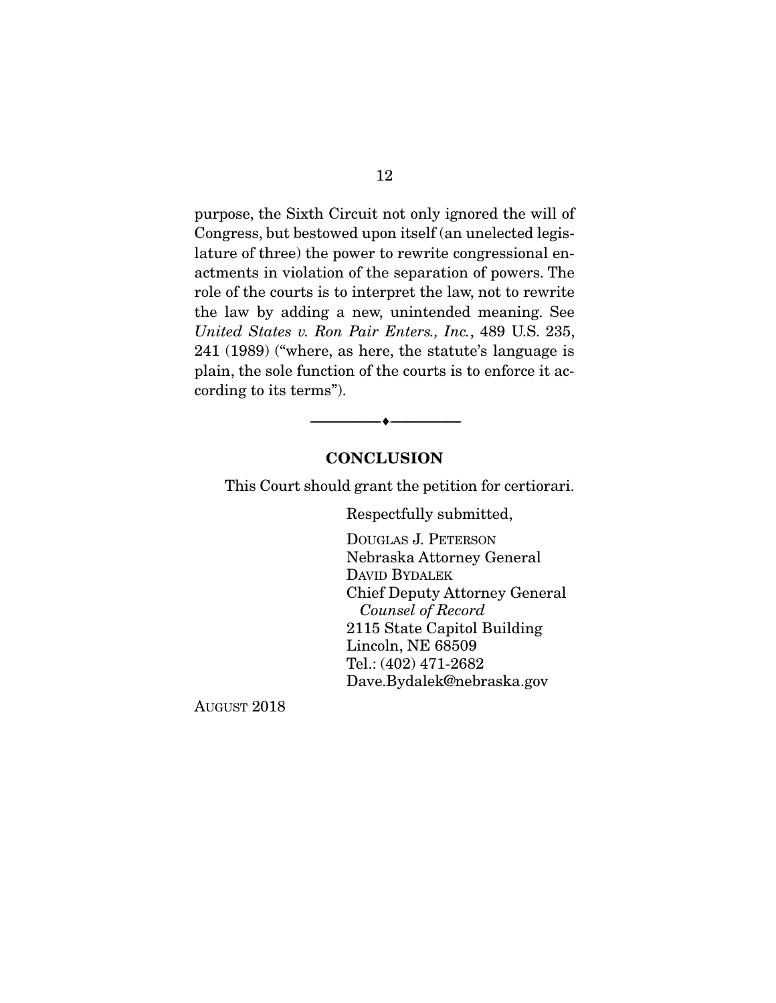purpose, the Sixth Circuit not only ignored the will of Congress, but bestowed upon itself (an unelected legislature of three) the power to rewrite congressional enactments in violation of the separation of powers. The role of the courts is to interpret the law, not to rewrite the law by adding a new, unintended meaning. See *United States v. Ron Pair Enters., Inc.*, 489 U.S. 235, 241 (1989) ("where, as here, the statute's language is plain, the sole function of the courts is to enforce it according to its terms").

#### **CONCLUSION**

--------------------------------- ---------------------------------

This Court should grant the petition for certiorari.

Respectfully submitted,

DOUGLAS J. PETERSON Nebraska Attorney General DAVID BYDALEK Chief Deputy Attorney General *Counsel of Record*  2115 State Capitol Building Lincoln, NE 68509 Tel.: (402) 471-2682 Dave.Bydalek@nebraska.gov

AUGUST 2018